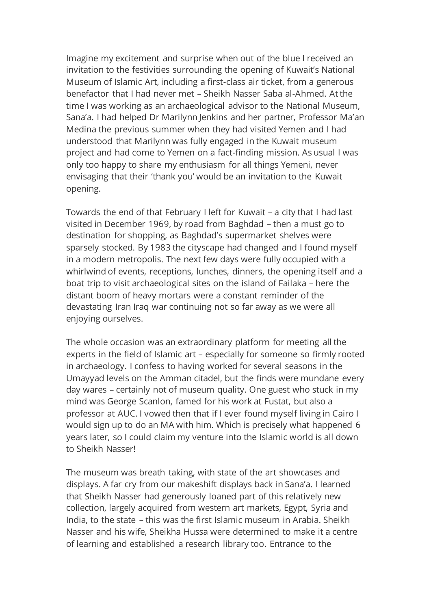Imagine my excitement and surprise when out of the blue I received an invitation to the festivities surrounding the opening of Kuwait's National Museum of Islamic Art, including a first-class air ticket, from a generous benefactor that I had never met – Sheikh Nasser Saba al-Ahmed. At the time I was working as an archaeological advisor to the National Museum, Sana'a. I had helped Dr Marilynn Jenkins and her partner, Professor Ma'an Medina the previous summer when they had visited Yemen and I had understood that Marilynn was fully engaged in the Kuwait museum project and had come to Yemen on a fact-finding mission. As usual I was only too happy to share my enthusiasm for all things Yemeni, never envisaging that their 'thank you' would be an invitation to the Kuwait opening.

Towards the end of that February I left for Kuwait – a city that I had last visited in December 1969, by road from Baghdad – then a must go to destination for shopping, as Baghdad's supermarket shelves were sparsely stocked. By 1983 the cityscape had changed and I found myself in a modern metropolis. The next few days were fully occupied with a whirlwind of events, receptions, lunches, dinners, the opening itself and a boat trip to visit archaeological sites on the island of Failaka – here the distant boom of heavy mortars were a constant reminder of the devastating Iran Iraq war continuing not so far away as we were all enjoying ourselves.

The whole occasion was an extraordinary platform for meeting all the experts in the field of Islamic art – especially for someone so firmly rooted in archaeology. I confess to having worked for several seasons in the Umayyad levels on the Amman citadel, but the finds were mundane every day wares – certainly not of museum quality. One guest who stuck in my mind was George Scanlon, famed for his work at Fustat, but also a professor at AUC. I vowed then that if I ever found myself living in Cairo I would sign up to do an MA with him. Which is precisely what happened 6 years later, so I could claim my venture into the Islamic world is all down to Sheikh Nasser!

The museum was breath taking, with state of the art showcases and displays. A far cry from our makeshift displays back in Sana'a. I learned that Sheikh Nasser had generously loaned part of this relatively new collection, largely acquired from western art markets, Egypt, Syria and India, to the state – this was the first Islamic museum in Arabia. Sheikh Nasser and his wife, Sheikha Hussa were determined to make it a centre of learning and established a research library too. Entrance to the